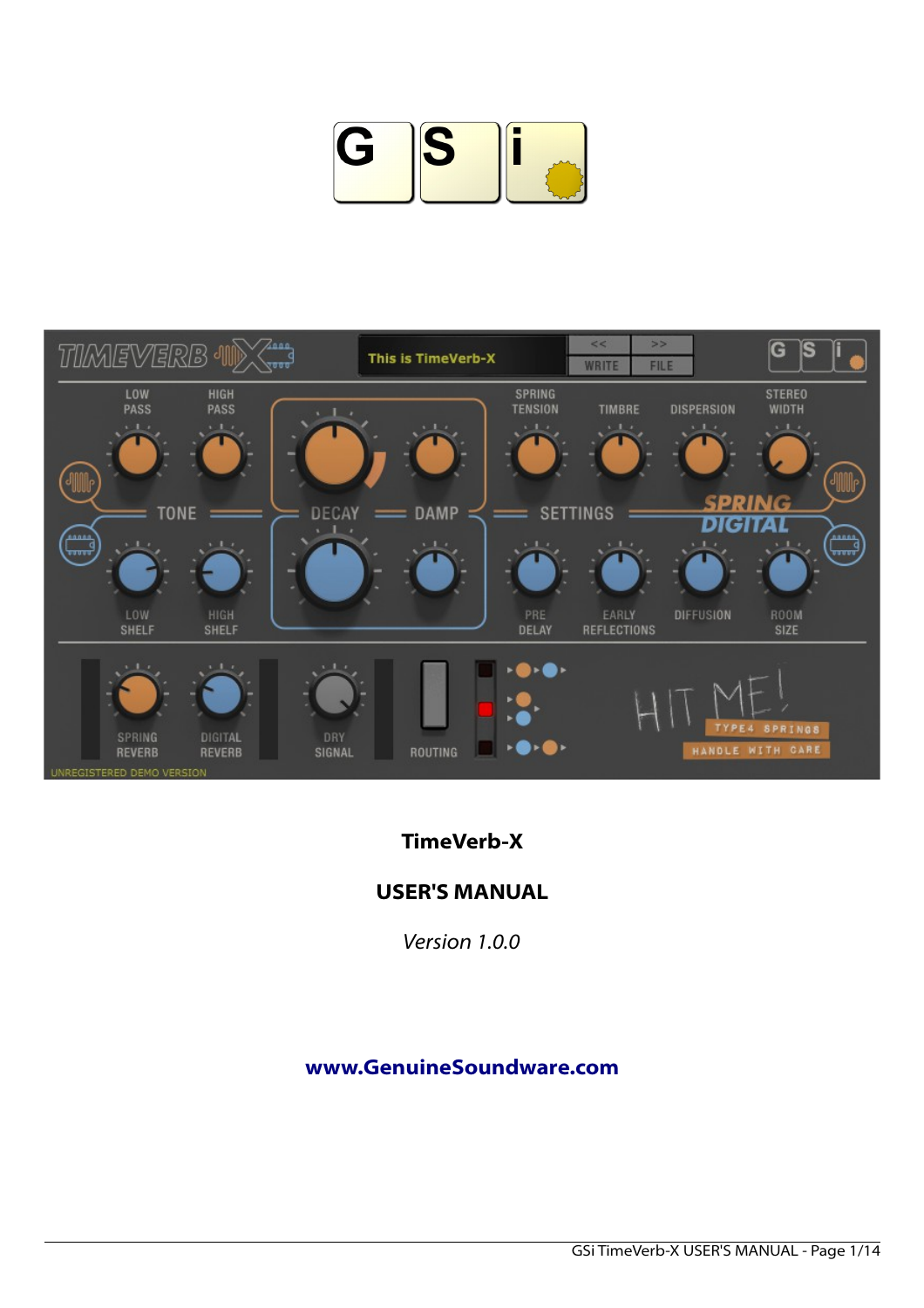



# **TimeVerb-X**

### **USER'S MANUAL**

*Version 1.0.0*

### **[www.GenuineSoundware.com](http://www.GenuineSoundware.com/)**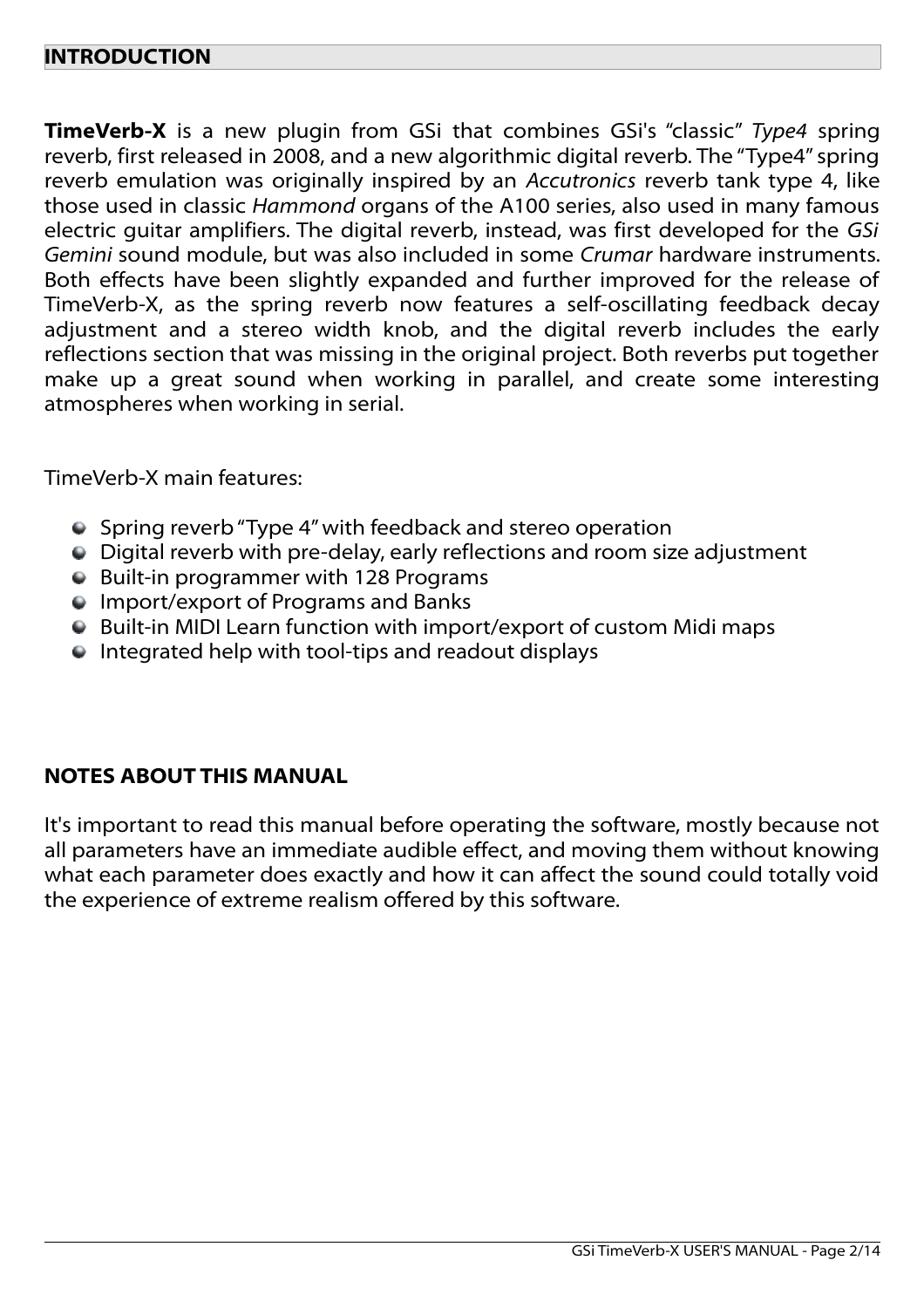### **INTRODUCTION**

**TimeVerb-X** is a new plugin from GSi that combines GSi's "classic" *Type4* spring reverb, first released in 2008, and a new algorithmic digital reverb. The "Type4" spring reverb emulation was originally inspired by an *Accutronics* reverb tank type 4, like those used in classic *Hammond* organs of the A100 series, also used in many famous electric guitar amplifiers. The digital reverb, instead, was first developed for the *GSi Gemini* sound module, but was also included in some *Crumar* hardware instruments. Both effects have been slightly expanded and further improved for the release of TimeVerb-X, as the spring reverb now features a self-oscillating feedback decay adjustment and a stereo width knob, and the digital reverb includes the early reflections section that was missing in the original project. Both reverbs put together make up a great sound when working in parallel, and create some interesting atmospheres when working in serial.

#### TimeVerb-X main features:

- Spring reverb "Type 4" with feedback and stereo operation
- Digital reverb with pre-delay, early reflections and room size adjustment
- Built-in programmer with 128 Programs
- **Import/export of Programs and Banks**
- Built-in MIDI Learn function with import/export of custom Midi maps
- Integrated help with tool-tips and readout displays

### **NOTES ABOUT THIS MANUAL**

It's important to read this manual before operating the software, mostly because not all parameters have an immediate audible effect, and moving them without knowing what each parameter does exactly and how it can affect the sound could totally void the experience of extreme realism offered by this software.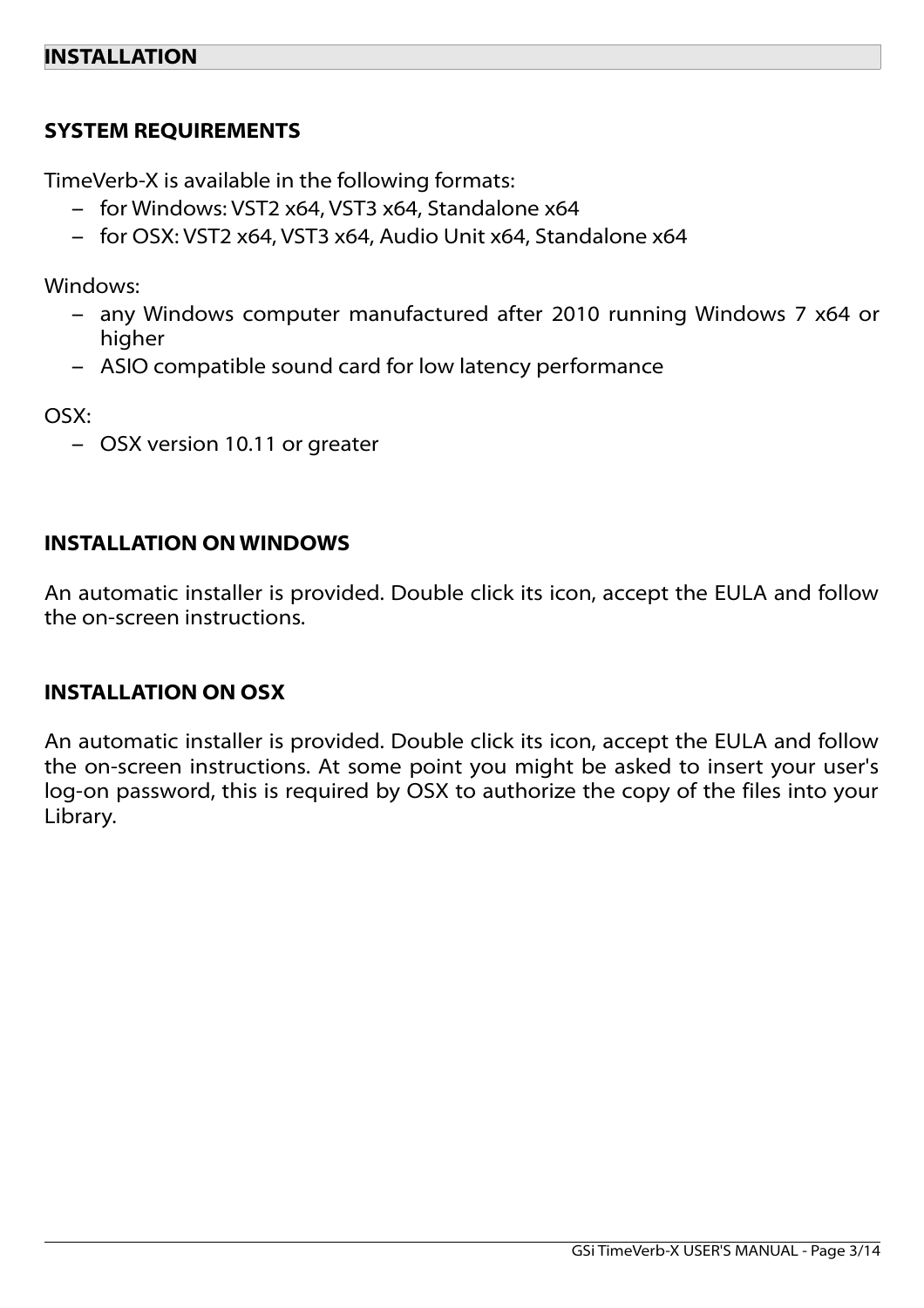## **SYSTEM REQUIREMENTS**

TimeVerb-X is available in the following formats:

- for Windows: VST2 x64, VST3 x64, Standalone x64
- for OSX: VST2 x64, VST3 x64, Audio Unit x64, Standalone x64

Windows:

- any Windows computer manufactured after 2010 running Windows 7 x64 or higher
- ASIO compatible sound card for low latency performance

OSX:

– OSX version 10.11 or greater

## **INSTALLATION ON WINDOWS**

An automatic installer is provided. Double click its icon, accept the EULA and follow the on-screen instructions.

### **INSTALLATION ON OSX**

An automatic installer is provided. Double click its icon, accept the EULA and follow the on-screen instructions. At some point you might be asked to insert your user's log-on password, this is required by OSX to authorize the copy of the files into your Library.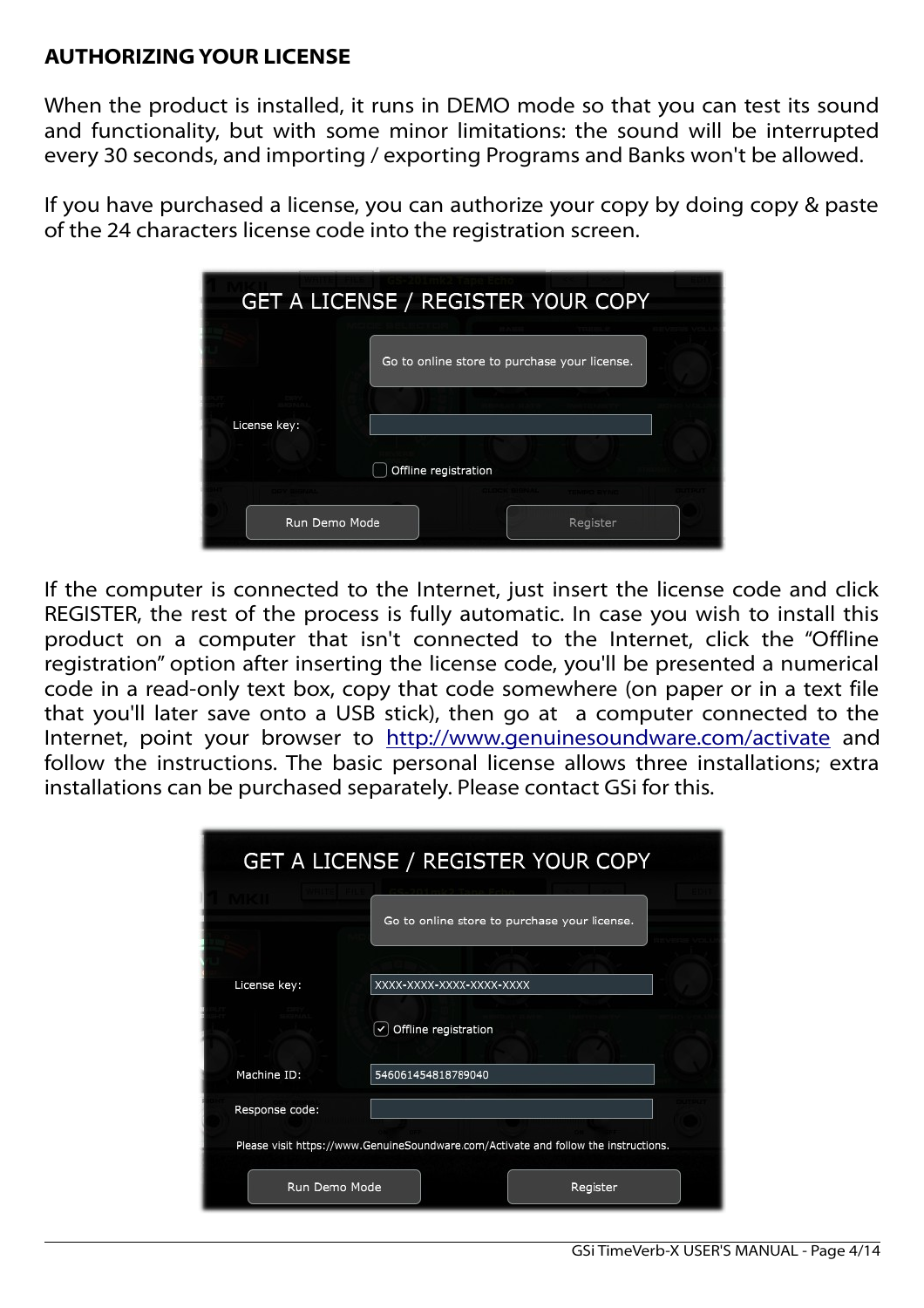## **AUTHORIZING YOUR LICENSE**

When the product is installed, it runs in DEMO mode so that you can test its sound and functionality, but with some minor limitations: the sound will be interrupted every 30 seconds, and importing / exporting Programs and Banks won't be allowed.

If you have purchased a license, you can authorize your copy by doing copy & paste of the 24 characters license code into the registration screen.

|               | GET A LICENSE / REGISTER YOUR COPY           |  |
|---------------|----------------------------------------------|--|
|               | Go to online store to purchase your license. |  |
| License key:  |                                              |  |
|               | Offline registration                         |  |
|               |                                              |  |
| Run Demo Mode | Register                                     |  |

If the computer is connected to the Internet, just insert the license code and click REGISTER, the rest of the process is fully automatic. In case you wish to install this product on a computer that isn't connected to the Internet, click the "Offline registration" option after inserting the license code, you'll be presented a numerical code in a read-only text box, copy that code somewhere (on paper or in a text file that you'll later save onto a USB stick), then go at a computer connected to the Internet, point your browser to<http://www.genuinesoundware.com/activate>and follow the instructions. The basic personal license allows three installations; extra installations can be purchased separately. Please contact GSi for this.

|                | <b>GET A LICENSE / REGISTER YOUR COPY</b>                                           |  |  |
|----------------|-------------------------------------------------------------------------------------|--|--|
|                | Go to online store to purchase your license.                                        |  |  |
|                |                                                                                     |  |  |
| License key:   | XXXX-XXXX-XXXX-XXXX-XXXX                                                            |  |  |
|                | Offline registration                                                                |  |  |
| Machine ID:    | 546061454818789040                                                                  |  |  |
| Response code: |                                                                                     |  |  |
|                | Please visit https://www.GenuineSoundware.com/Activate and follow the instructions. |  |  |
| Run Demo Mode  | Register                                                                            |  |  |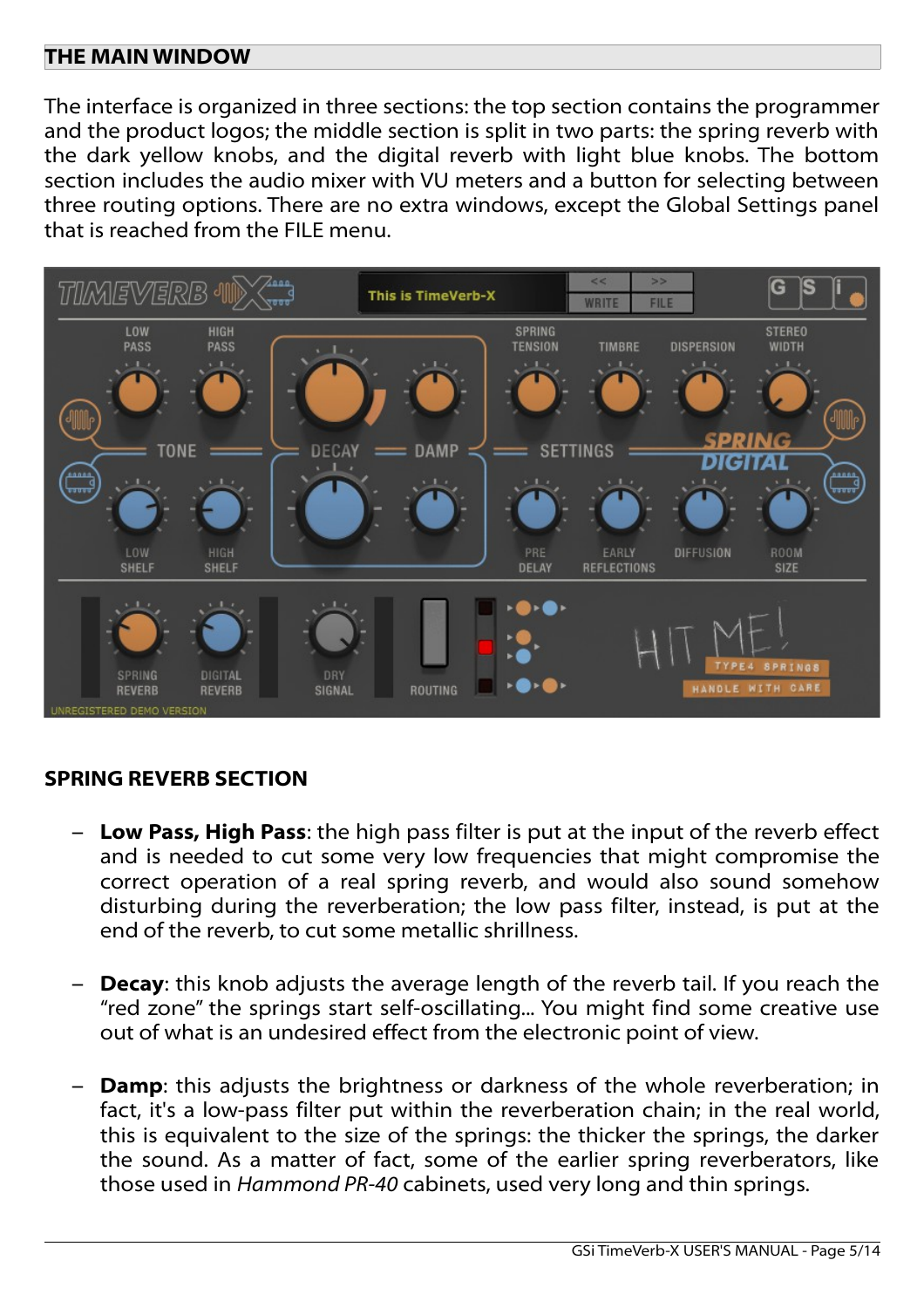### **THE MAIN WINDOW**

The interface is organized in three sections: the top section contains the programmer and the product logos; the middle section is split in two parts: the spring reverb with the dark yellow knobs, and the digital reverb with light blue knobs. The bottom section includes the audio mixer with VU meters and a button for selecting between three routing options. There are no extra windows, except the Global Settings panel that is reached from the FILE menu.



# **SPRING REVERB SECTION**

- **Low Pass, High Pass**: the high pass filter is put at the input of the reverb effect and is needed to cut some very low frequencies that might compromise the correct operation of a real spring reverb, and would also sound somehow disturbing during the reverberation; the low pass filter, instead, is put at the end of the reverb, to cut some metallic shrillness.
- **Decay:** this knob adjusts the average length of the reverb tail. If you reach the "red zone" the springs start self-oscillating... You might find some creative use out of what is an undesired effect from the electronic point of view.
- **Damp**: this adjusts the brightness or darkness of the whole reverberation; in fact, it's a low-pass filter put within the reverberation chain; in the real world, this is equivalent to the size of the springs: the thicker the springs, the darker the sound. As a matter of fact, some of the earlier spring reverberators, like those used in *Hammond PR-40* cabinets, used very long and thin springs.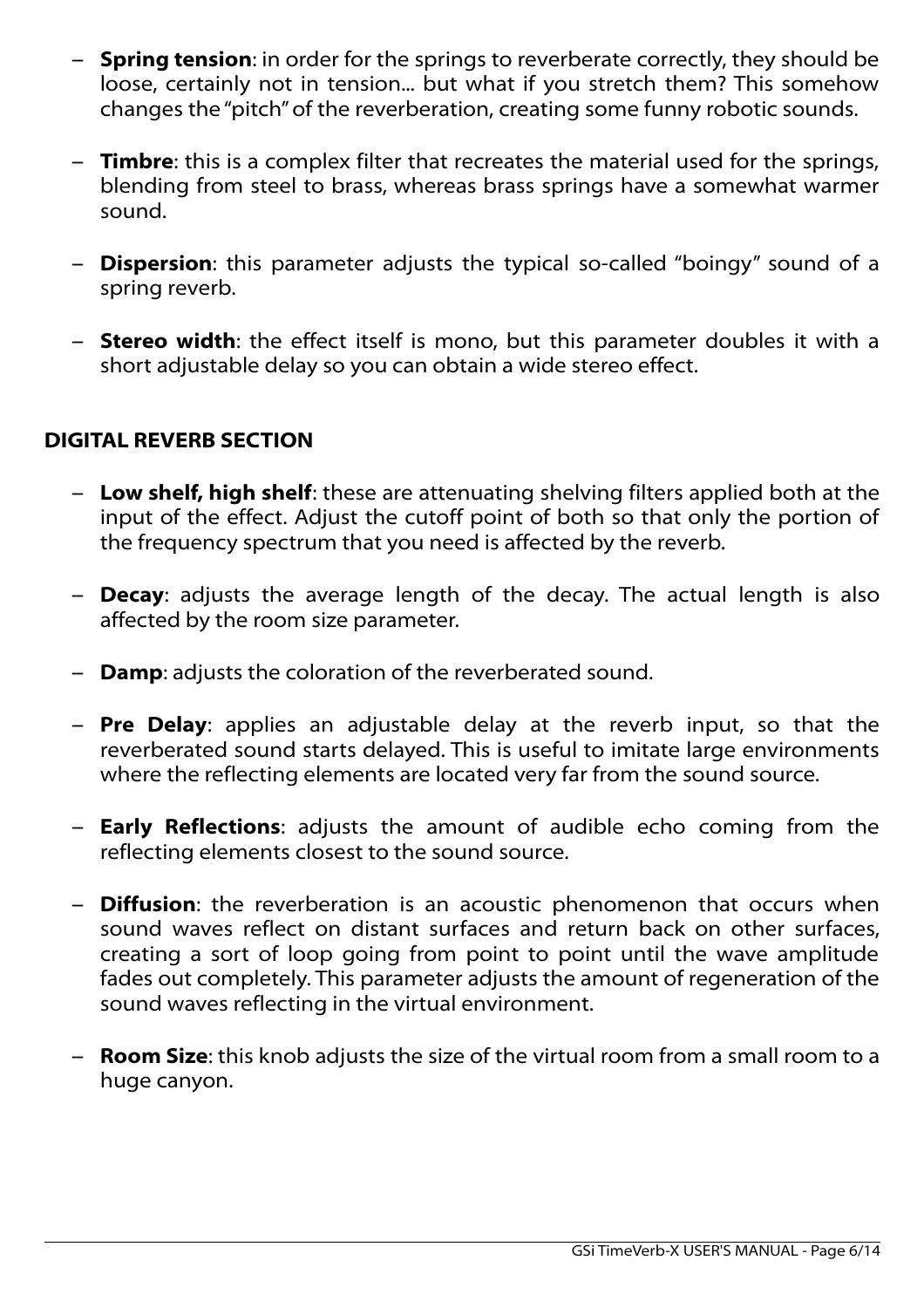- **Spring tension**: in order for the springs to reverberate correctly, they should be loose, certainly not in tension... but what if you stretch them? This somehow changes the "pitch" of the reverberation, creating some funny robotic sounds.
- **Timbre**: this is a complex filter that recreates the material used for the springs, blending from steel to brass, whereas brass springs have a somewhat warmer sound.
- **Dispersion**: this parameter adjusts the typical so-called "boingy" sound of a spring reverb.
- **Stereo width**: the effect itself is mono, but this parameter doubles it with a short adjustable delay so you can obtain a wide stereo effect.

# **DIGITAL REVERB SECTION**

- **Low shelf, high shelf**: these are attenuating shelving filters applied both at the input of the effect. Adjust the cutoff point of both so that only the portion of the frequency spectrum that you need is affected by the reverb.
- **Decay**: adjusts the average length of the decay. The actual length is also affected by the room size parameter.
- **Damp**: adjusts the coloration of the reverberated sound.
- **Pre Delay**: applies an adjustable delay at the reverb input, so that the reverberated sound starts delayed. This is useful to imitate large environments where the reflecting elements are located very far from the sound source.
- **Early Reflections**: adjusts the amount of audible echo coming from the reflecting elements closest to the sound source.
- **Diffusion**: the reverberation is an acoustic phenomenon that occurs when sound waves reflect on distant surfaces and return back on other surfaces, creating a sort of loop going from point to point until the wave amplitude fades out completely. This parameter adjusts the amount of regeneration of the sound waves reflecting in the virtual environment.
- **Room Size**: this knob adjusts the size of the virtual room from a small room to a huge canyon.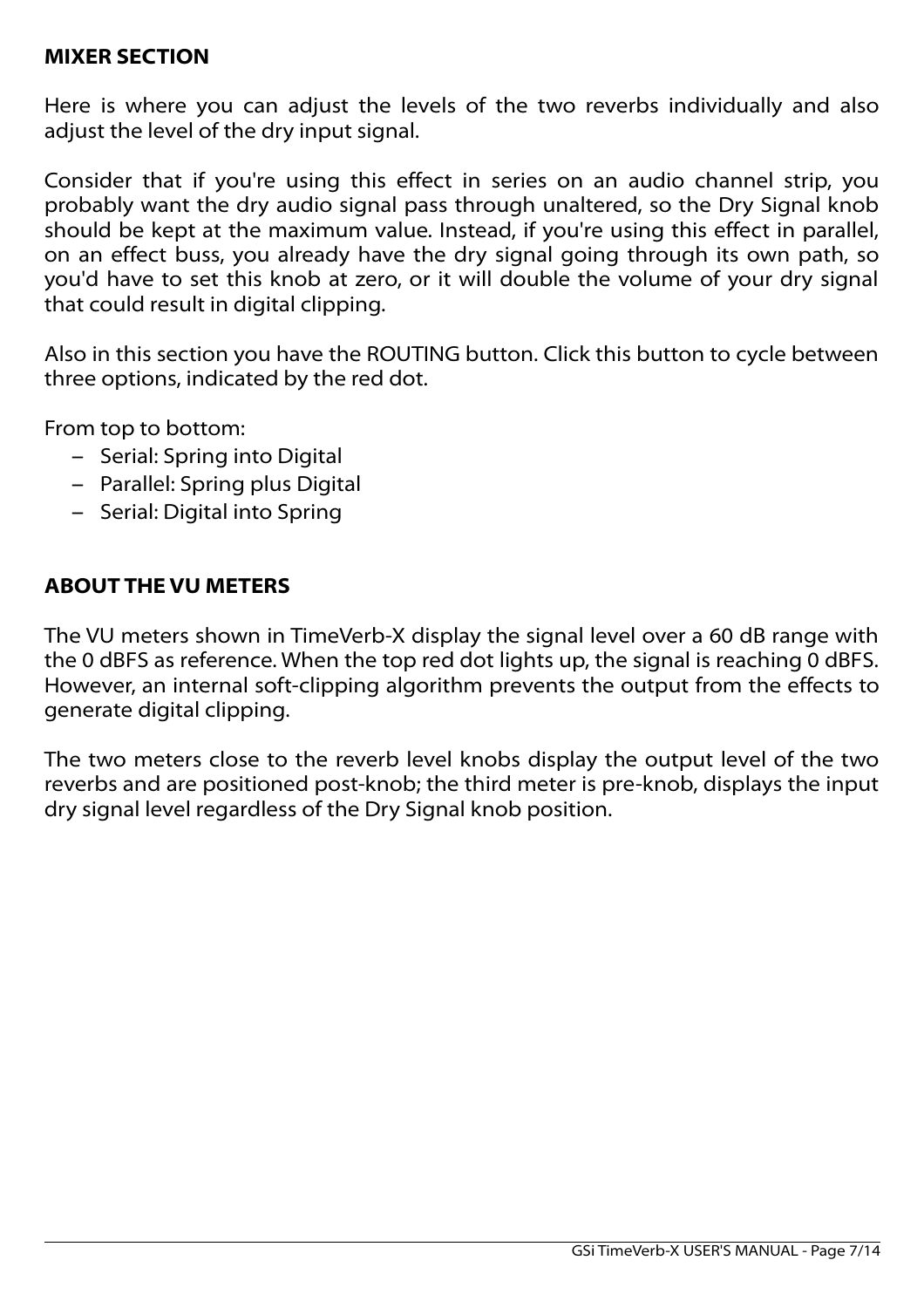#### **MIXER SECTION**

Here is where you can adjust the levels of the two reverbs individually and also adjust the level of the dry input signal.

Consider that if you're using this effect in series on an audio channel strip, you probably want the dry audio signal pass through unaltered, so the Dry Signal knob should be kept at the maximum value. Instead, if you're using this effect in parallel, on an effect buss, you already have the dry signal going through its own path, so you'd have to set this knob at zero, or it will double the volume of your dry signal that could result in digital clipping.

Also in this section you have the ROUTING button. Click this button to cycle between three options, indicated by the red dot.

From top to bottom:

- Serial: Spring into Digital
- Parallel: Spring plus Digital
- Serial: Digital into Spring

## **ABOUT THE VU METERS**

The VU meters shown in TimeVerb-X display the signal level over a 60 dB range with the 0 dBFS as reference. When the top red dot lights up, the signal is reaching 0 dBFS. However, an internal soft-clipping algorithm prevents the output from the effects to generate digital clipping.

The two meters close to the reverb level knobs display the output level of the two reverbs and are positioned post-knob; the third meter is pre-knob, displays the input dry signal level regardless of the Dry Signal knob position.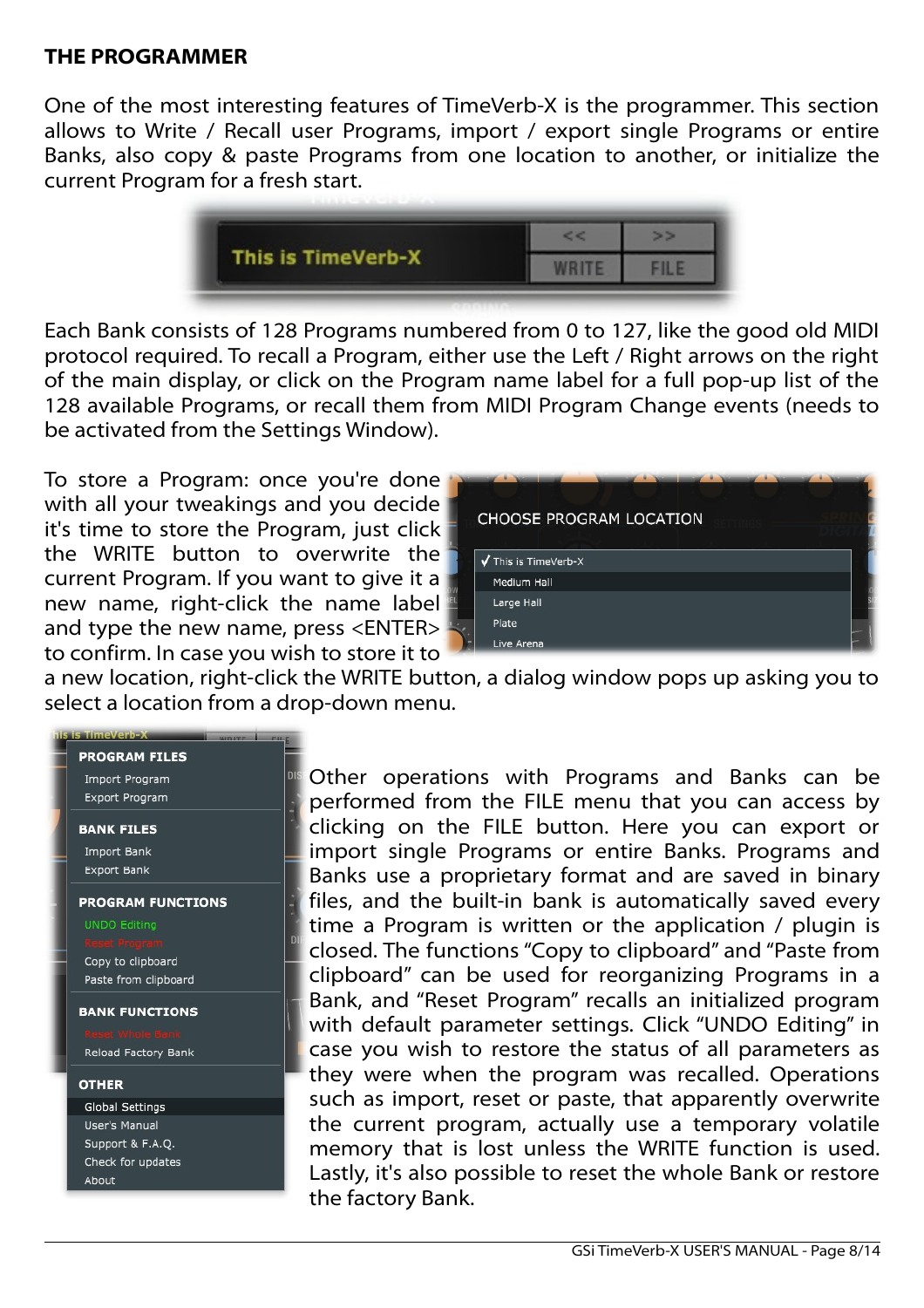### **THE PROGRAMMER**

One of the most interesting features of TimeVerb-X is the programmer. This section allows to Write / Recall user Programs, import / export single Programs or entire Banks, also copy & paste Programs from one location to another, or initialize the current Program for a fresh start.



Each Bank consists of 128 Programs numbered from 0 to 127, like the good old MIDI protocol required. To recall a Program, either use the Left / Right arrows on the right of the main display, or click on the Program name label for a full pop-up list of the 128 available Programs, or recall them from MIDI Program Change events (needs to be activated from the Settings Window).

To store a Program: once you're done with all your tweakings and you decide it's time to store the Program, just click the WRITE button to overwrite the current Program. If you want to give it a new name, right-click the name label and type the new name, press <ENTER> to confirm. In case you wish to store it to



a new location, right-click the WRITE button, a dialog window pops up asking you to select a location from a drop-down menu.



Other operations with Programs and Banks can be performed from the FILE menu that you can access by clicking on the FILE button. Here you can export or import single Programs or entire Banks. Programs and Banks use a proprietary format and are saved in binary files, and the built-in bank is automatically saved every time a Program is written or the application / plugin is closed. The functions "Copy to clipboard" and "Paste from clipboard" can be used for reorganizing Programs in a Bank, and "Reset Program" recalls an initialized program with default parameter settings. Click "UNDO Editing" in case you wish to restore the status of all parameters as they were when the program was recalled. Operations such as import, reset or paste, that apparently overwrite the current program, actually use a temporary volatile memory that is lost unless the WRITE function is used. Lastly, it's also possible to reset the whole Bank or restore the factory Bank.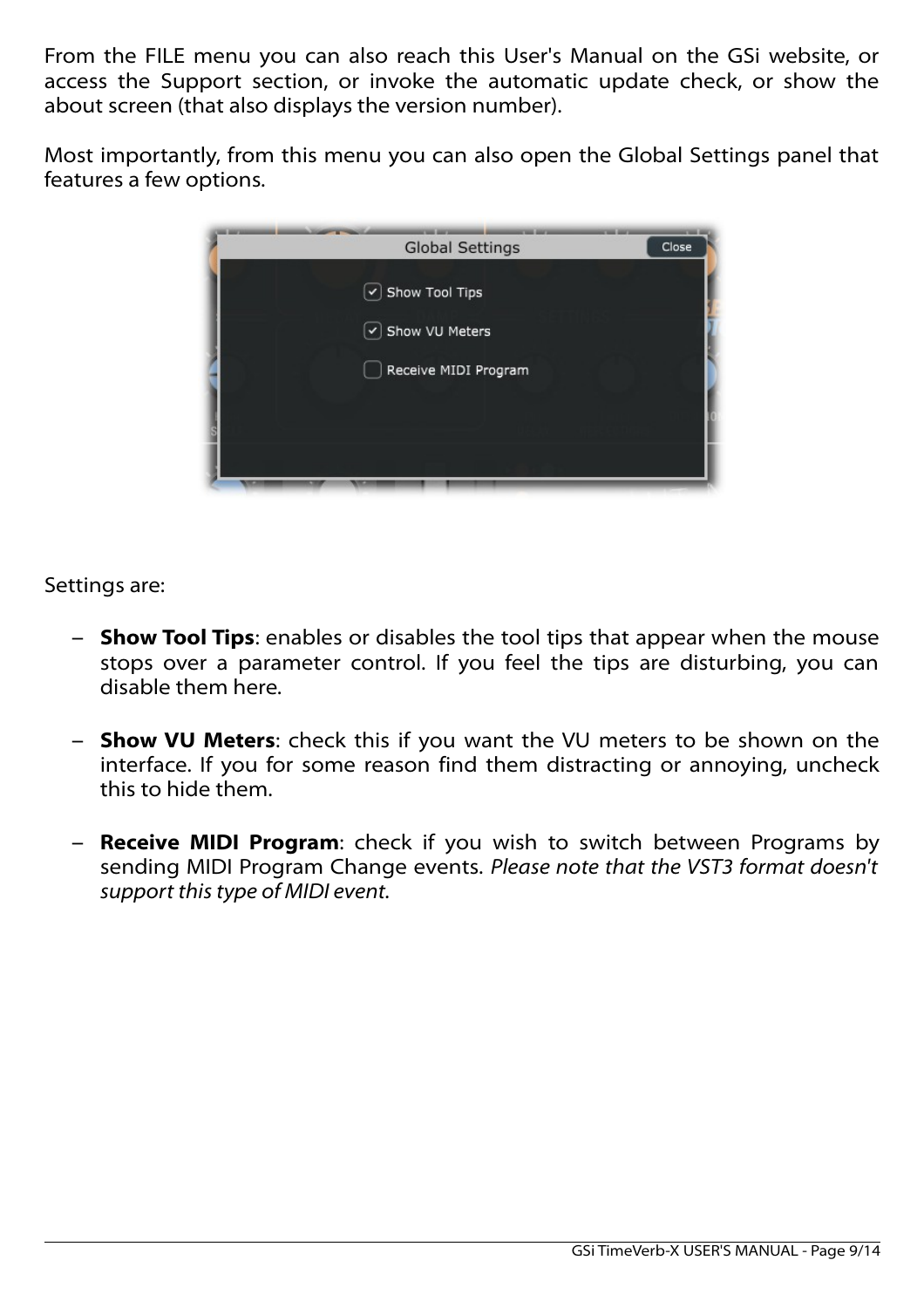From the FILE menu you can also reach this User's Manual on the GSi website, or access the Support section, or invoke the automatic update check, or show the about screen (that also displays the version number).

Most importantly, from this menu you can also open the Global Settings panel that features a few options.



Settings are:

- **Show Tool Tips**: enables or disables the tool tips that appear when the mouse stops over a parameter control. If you feel the tips are disturbing, you can disable them here.
- **Show VU Meters**: check this if you want the VU meters to be shown on the interface. If you for some reason find them distracting or annoying, uncheck this to hide them.
- **Receive MIDI Program**: check if you wish to switch between Programs by sending MIDI Program Change events. *Please note that the VST3 format doesn't support this type of MIDI event.*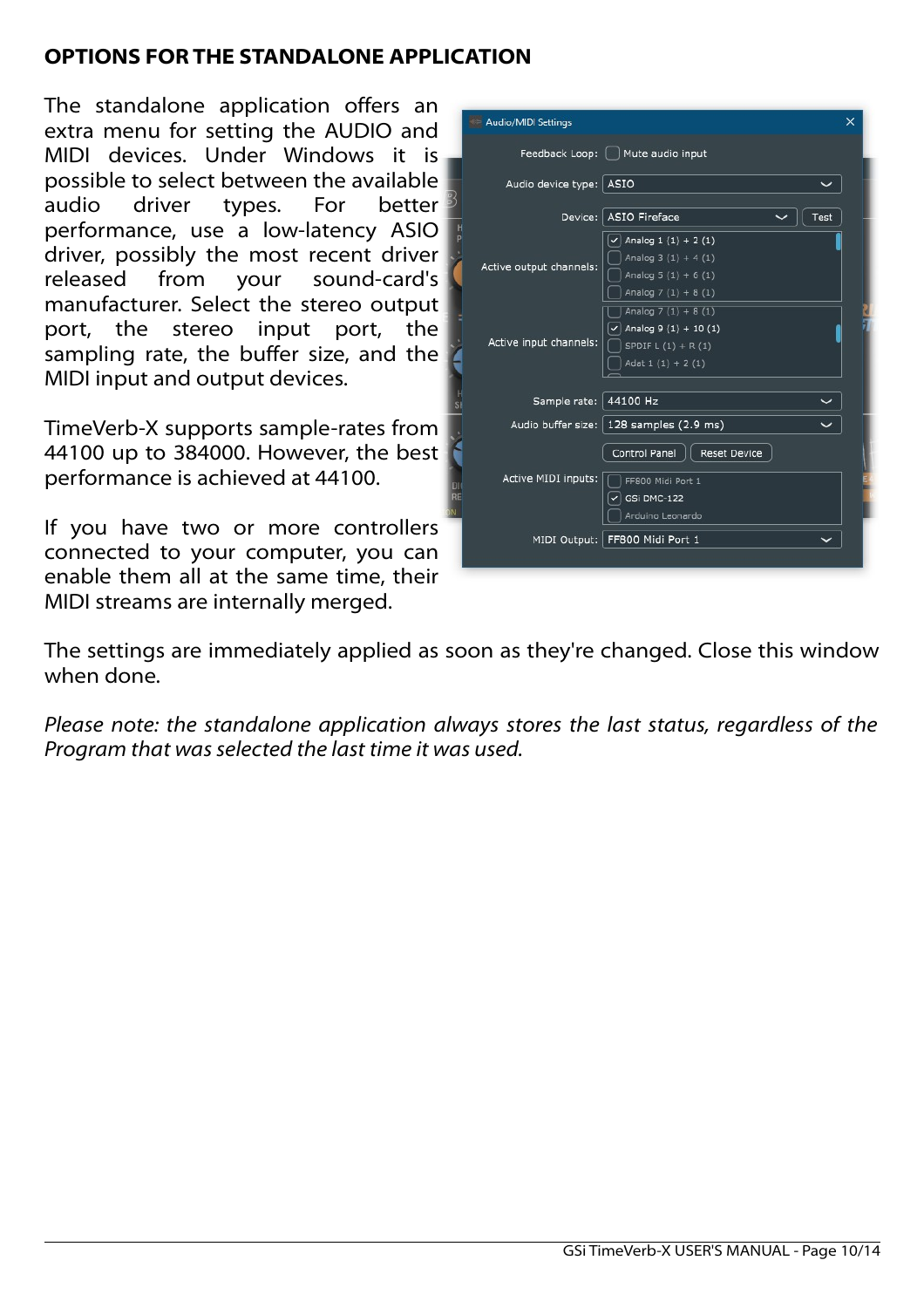# **OPTIONS FOR THE STANDALONE APPLICATION**

The standalone application offers an extra menu for setting the AUDIO and MIDI devices. Under Windows it is possible to select between the available audio driver types. For better performance, use a low-latency ASIO driver, possibly the most recent driver released from your sound-card's manufacturer. Select the stereo output port, the stereo input port, the sampling rate, the buffer size, and the MIDI input and output devices.

TimeVerb-X supports sample-rates from 44100 up to 384000. However, the best performance is achieved at 44100.

If you have two or more controllers connected to your computer, you can enable them all at the same time, their MIDI streams are internally merged.

| Audio/MIDI Settings     |                                                                                                   | $\times$ |
|-------------------------|---------------------------------------------------------------------------------------------------|----------|
|                         | Feedback Loop:   Mute audio input                                                                 |          |
| Audio device type: ASIO |                                                                                                   |          |
|                         | Device: ASIO Fireface<br>Test                                                                     |          |
| Active output channels: | Analog $1(1) + 2(1)$<br>✓<br>Analog $3(1) + 4(1)$<br>Analog $5(1) + 6(1)$<br>Analog $7(1) + 8(1)$ |          |
| Active input channels:  | Analog $7(1) + 8(1)$<br>Analog $9(1) + 10(1)$<br>SPDIF $L(1) + R(1)$<br>Adat $1(1) + 2(1)$        |          |
| Sample rate:   44100 Hz |                                                                                                   |          |
|                         | Audio buffer size:   128 samples (2.9 ms)                                                         |          |
|                         | Control Panel<br><b>Reset Device</b>                                                              |          |
| Active MIDI inputs:     | FF800 Midi Port 1<br>GSi DMC-122<br>Arduino Leonardo                                              |          |
|                         | MIDI Output: FF800 Midi Port 1                                                                    |          |
|                         |                                                                                                   |          |

The settings are immediately applied as soon as they're changed. Close this window when done.

*Please note: the standalone application always stores the last status, regardless of the Program that was selected the last time it was used.*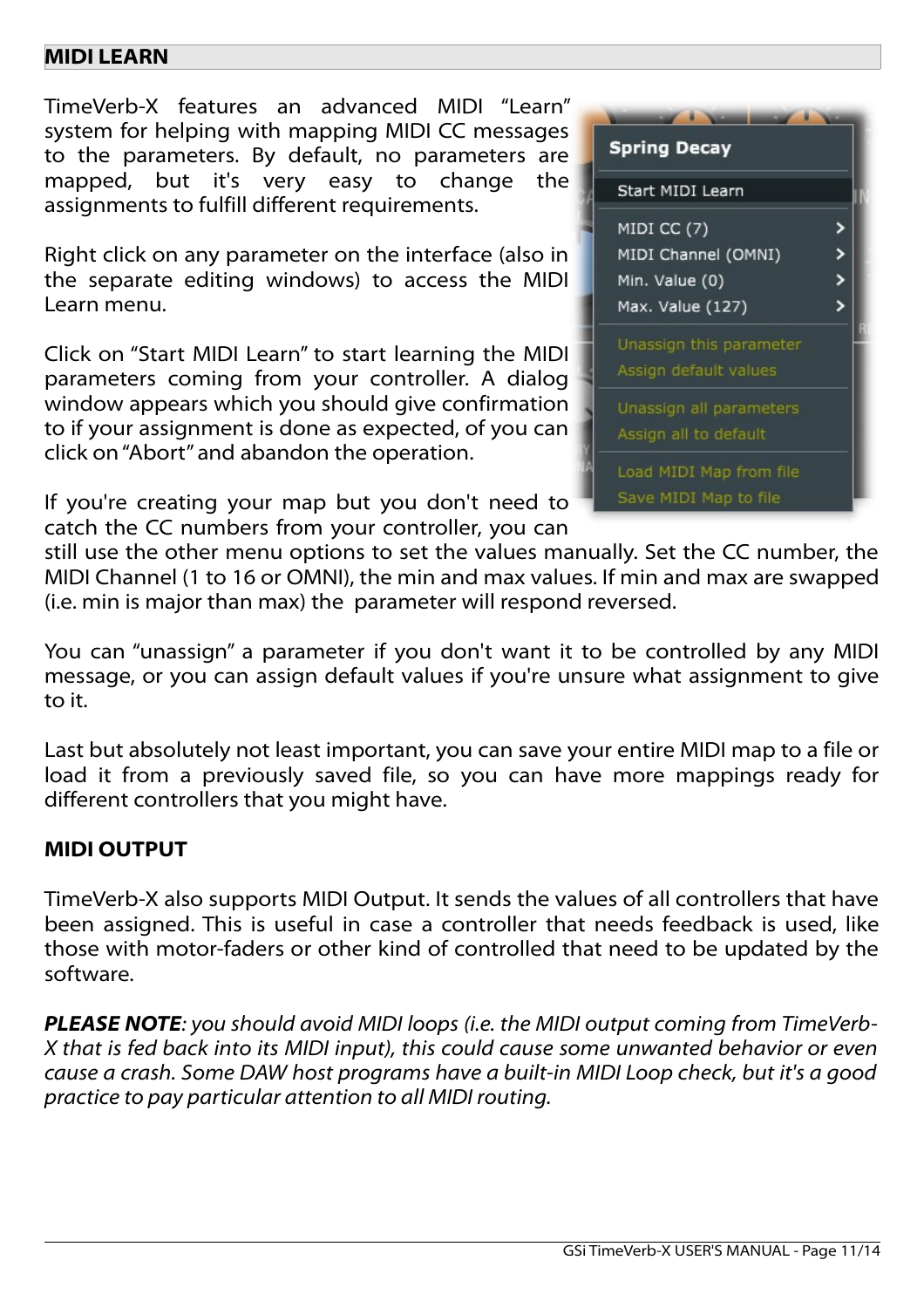### **MIDI LEARN**

TimeVerb-X features an advanced MIDI "Learn" system for helping with mapping MIDI CC messages to the parameters. By default, no parameters are mapped, but it's very easy to change the assignments to fulfill different requirements.

Right click on any parameter on the interface (also in the separate editing windows) to access the MIDI Learn menu.

Click on "Start MIDI Learn" to start learning the MIDI parameters coming from your controller. A dialog window appears which you should give confirmation to if your assignment is done as expected, of you can click on "Abort" and abandon the operation.

If you're creating your map but you don't need to catch the CC numbers from your controller, you can

| <b>Spring Decay</b>                                                      |  |  |
|--------------------------------------------------------------------------|--|--|
| Start MIDI Learn                                                         |  |  |
| MIDI CC (7)<br>MIDI Channel (OMNI)<br>Min. Value (0)<br>Max. Value (127) |  |  |
| Unassign this parameter<br>Assign default values                         |  |  |
| Unassign all parameters<br>Assign all to default                         |  |  |
| Load MIDI Map from file<br>Save MIDI Map to file                         |  |  |

still use the other menu options to set the values manually. Set the CC number, the MIDI Channel (1 to 16 or OMNI), the min and max values. If min and max are swapped (i.e. min is major than max) the parameter will respond reversed.

You can "unassign" a parameter if you don't want it to be controlled by any MIDI message, or you can assign default values if you're unsure what assignment to give to it.

Last but absolutely not least important, you can save your entire MIDI map to a file or load it from a previously saved file, so you can have more mappings ready for different controllers that you might have.

### **MIDI OUTPUT**

TimeVerb-X also supports MIDI Output. It sends the values of all controllers that have been assigned. This is useful in case a controller that needs feedback is used, like those with motor-faders or other kind of controlled that need to be updated by the software.

*PLEASE NOTE: you should avoid MIDI loops (i.e. the MIDI output coming from TimeVerb-X that is fed back into its MIDI input), this could cause some unwanted behavior or even cause a crash. Some DAW host programs have a built-in MIDI Loop check, but it's a good practice to pay particular attention to all MIDI routing.*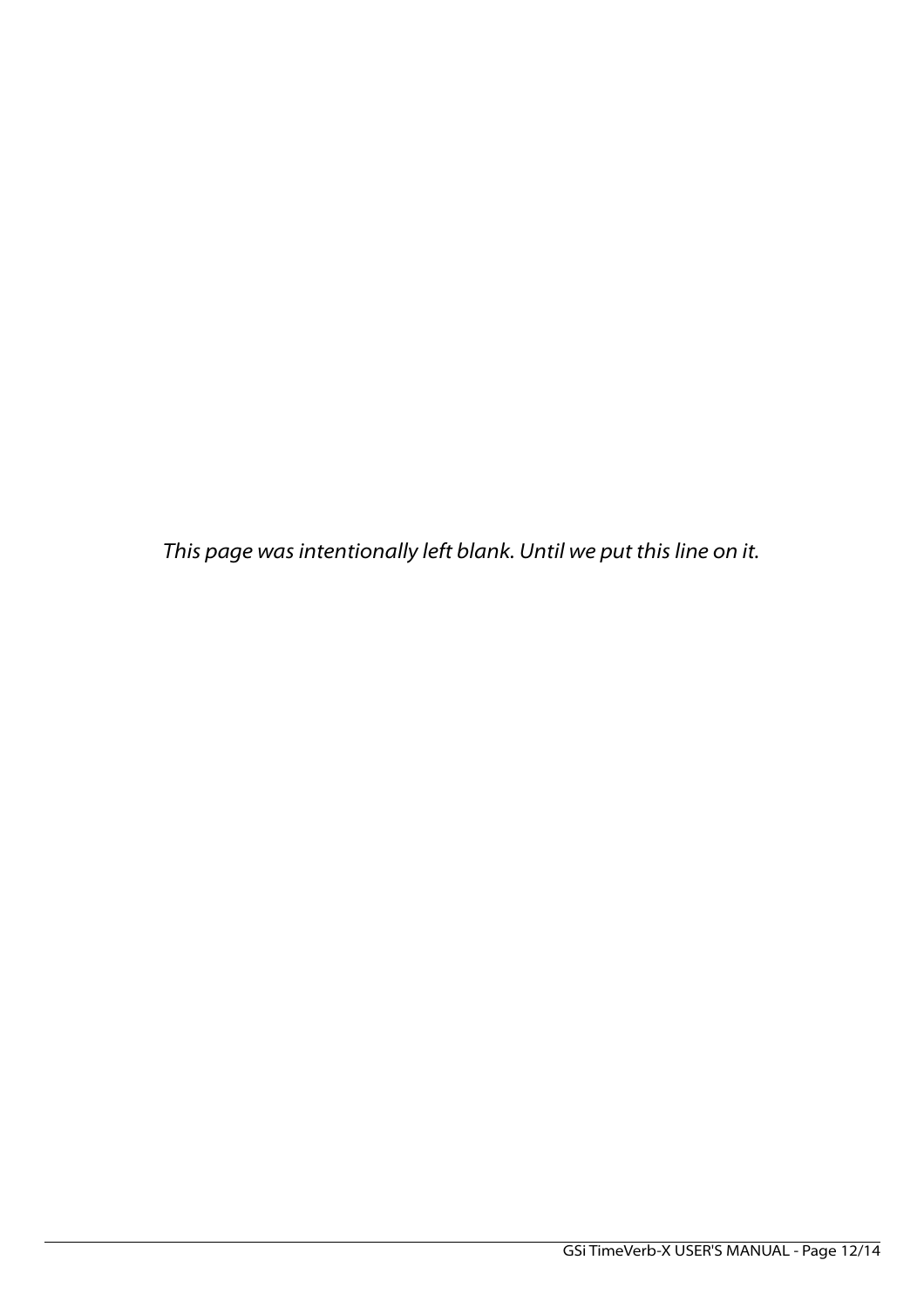*This page was intentionally left blank. Until we put this line on it.*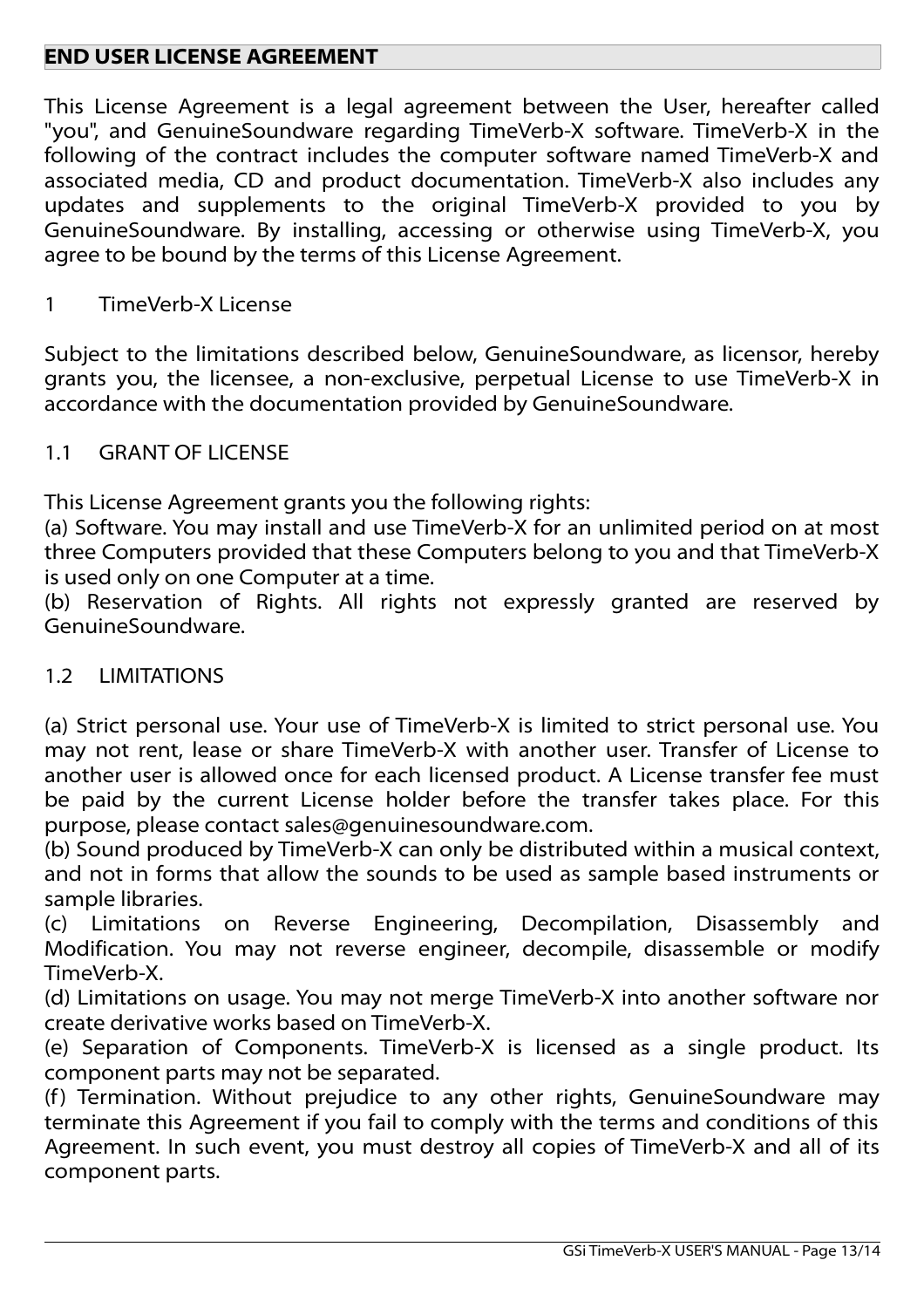# **END USER LICENSE AGREEMENT**

This License Agreement is a legal agreement between the User, hereafter called "you", and GenuineSoundware regarding TimeVerb-X software. TimeVerb-X in the following of the contract includes the computer software named TimeVerb-X and associated media, CD and product documentation. TimeVerb-X also includes any updates and supplements to the original TimeVerb-X provided to you by GenuineSoundware. By installing, accessing or otherwise using TimeVerb-X, you agree to be bound by the terms of this License Agreement.

#### 1 TimeVerb-X License

Subject to the limitations described below, GenuineSoundware, as licensor, hereby grants you, the licensee, a non-exclusive, perpetual License to use TimeVerb-X in accordance with the documentation provided by GenuineSoundware.

#### 1.1 GRANT OF LICENSE

This License Agreement grants you the following rights:

(a) Software. You may install and use TimeVerb-X for an unlimited period on at most three Computers provided that these Computers belong to you and that TimeVerb-X is used only on one Computer at a time.

(b) Reservation of Rights. All rights not expressly granted are reserved by GenuineSoundware.

### 1.2 LIMITATIONS

(a) Strict personal use. Your use of TimeVerb-X is limited to strict personal use. You may not rent, lease or share TimeVerb-X with another user. Transfer of License to another user is allowed once for each licensed product. A License transfer fee must be paid by the current License holder before the transfer takes place. For this purpose, please contact sales@genuinesoundware.com.

(b) Sound produced by TimeVerb-X can only be distributed within a musical context, and not in forms that allow the sounds to be used as sample based instruments or sample libraries.

(c) Limitations on Reverse Engineering, Decompilation, Disassembly and Modification. You may not reverse engineer, decompile, disassemble or modify TimeVerb-X.

(d) Limitations on usage. You may not merge TimeVerb-X into another software nor create derivative works based on TimeVerb-X.

(e) Separation of Components. TimeVerb-X is licensed as a single product. Its component parts may not be separated.

(f) Termination. Without prejudice to any other rights, GenuineSoundware may terminate this Agreement if you fail to comply with the terms and conditions of this Agreement. In such event, you must destroy all copies of TimeVerb-X and all of its component parts.